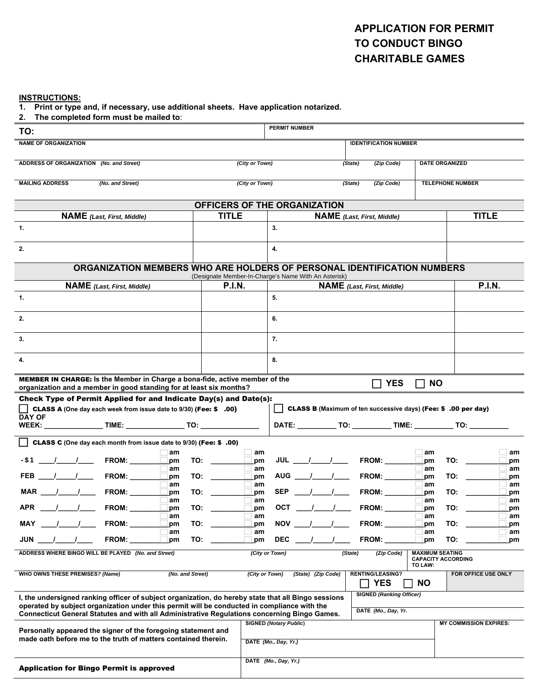## **APPLICATION FOR PERMIT TO CONDUCT BINGO CHARITABLE GAMES**

#### **INSTRUCTIONS:**

**1. Print or type and, if necessary, use additional sheets. Have application notarized.**

| 2. The completed form must be mailed to:                                                                                                                                                           |                  |                                                                                  |                                                                                        |                      |                          |                       |                                                                             |                                   |                                                                                                                                                                                                                                |                     |  |  |
|----------------------------------------------------------------------------------------------------------------------------------------------------------------------------------------------------|------------------|----------------------------------------------------------------------------------|----------------------------------------------------------------------------------------|----------------------|--------------------------|-----------------------|-----------------------------------------------------------------------------|-----------------------------------|--------------------------------------------------------------------------------------------------------------------------------------------------------------------------------------------------------------------------------|---------------------|--|--|
| TO:                                                                                                                                                                                                |                  |                                                                                  |                                                                                        | <b>PERMIT NUMBER</b> |                          |                       |                                                                             |                                   |                                                                                                                                                                                                                                |                     |  |  |
| <b>NAME OF ORGANIZATION</b>                                                                                                                                                                        |                  |                                                                                  |                                                                                        |                      |                          |                       | <b>IDENTIFICATION NUMBER</b>                                                |                                   |                                                                                                                                                                                                                                |                     |  |  |
| ADDRESS OF ORGANIZATION (No. and Street)                                                                                                                                                           |                  | (City or Town)                                                                   |                                                                                        |                      |                          | (Zip Code)<br>(State) | <b>DATE ORGANIZED</b>                                                       |                                   |                                                                                                                                                                                                                                |                     |  |  |
| <b>MAILING ADDRESS</b><br>(No. and Street)                                                                                                                                                         |                  |                                                                                  | (City or Town)                                                                         |                      |                          |                       | (State)<br>(Zip Code)                                                       | <b>TELEPHONE NUMBER</b>           |                                                                                                                                                                                                                                |                     |  |  |
|                                                                                                                                                                                                    |                  | OFFICERS OF THE ORGANIZATION                                                     |                                                                                        |                      |                          |                       |                                                                             |                                   |                                                                                                                                                                                                                                |                     |  |  |
| <b>NAME</b> (Last, First, Middle)                                                                                                                                                                  |                  | <b>TITLE</b>                                                                     |                                                                                        |                      |                          |                       | <b>NAME</b> (Last, First, Middle)                                           |                                   | <b>TITLE</b>                                                                                                                                                                                                                   |                     |  |  |
| 1.                                                                                                                                                                                                 |                  |                                                                                  |                                                                                        | 3.                   |                          |                       |                                                                             |                                   |                                                                                                                                                                                                                                |                     |  |  |
| 2.                                                                                                                                                                                                 |                  |                                                                                  |                                                                                        | 4.                   |                          |                       |                                                                             |                                   |                                                                                                                                                                                                                                |                     |  |  |
| ORGANIZATION MEMBERS WHO ARE HOLDERS OF PERSONAL IDENTIFICATION NUMBERS<br>(Designate Member-In-Charge's Name With An Asterisk)                                                                    |                  |                                                                                  |                                                                                        |                      |                          |                       |                                                                             |                                   |                                                                                                                                                                                                                                |                     |  |  |
| <b>NAME</b> (Last, First, Middle)                                                                                                                                                                  |                  | <b>P.I.N.</b>                                                                    |                                                                                        |                      |                          |                       | <b>NAME</b> (Last, First, Middle)                                           |                                   |                                                                                                                                                                                                                                | <b>P.I.N.</b>       |  |  |
| 1.                                                                                                                                                                                                 |                  |                                                                                  |                                                                                        | 5.                   |                          |                       |                                                                             |                                   |                                                                                                                                                                                                                                |                     |  |  |
| 2.                                                                                                                                                                                                 |                  |                                                                                  |                                                                                        | 6.                   |                          |                       |                                                                             |                                   |                                                                                                                                                                                                                                |                     |  |  |
| 3.                                                                                                                                                                                                 |                  |                                                                                  |                                                                                        | 7.                   |                          |                       |                                                                             |                                   |                                                                                                                                                                                                                                |                     |  |  |
| 4.                                                                                                                                                                                                 |                  |                                                                                  |                                                                                        | 8.                   |                          |                       |                                                                             |                                   |                                                                                                                                                                                                                                |                     |  |  |
| MEMBER IN CHARGE: Is the Member in Charge a bona-fide, active member of the<br><b>YES</b><br><b>NO</b><br>$\mathbf{1}$<br>organization and a member in good standing for at least six months?      |                  |                                                                                  |                                                                                        |                      |                          |                       |                                                                             |                                   |                                                                                                                                                                                                                                |                     |  |  |
| Check Type of Permit Applied for and Indicate Day(s) and Date(s):<br>CLASS A (One day each week from issue date to 9/30) (Fee: \$ .00)<br>$\blacksquare$<br><b>DAY OF</b>                          |                  |                                                                                  |                                                                                        |                      |                          |                       | <b>CLASS B</b> (Maximum of ten successive days) (Fee: \$.00 per day)        |                                   |                                                                                                                                                                                                                                |                     |  |  |
|                                                                                                                                                                                                    |                  |                                                                                  |                                                                                        |                      |                          |                       | DATE: _____________ TO: _____________ TIME: _____________ TO: _____________ |                                   |                                                                                                                                                                                                                                |                     |  |  |
| CLASS C (One day each month from issue date to 9/30) (Fee: \$.00)                                                                                                                                  |                  |                                                                                  |                                                                                        |                      |                          |                       |                                                                             |                                   |                                                                                                                                                                                                                                |                     |  |  |
| $>5B$ $\qquad$ / $\qquad$ FROM: $\qquad \qquad$ pm                                                                                                                                                 | am               | TO: $\begin{array}{c} \begin{array}{c} \begin{array}{c} \end{array} \end{array}$ | am<br>pm                                                                               |                      | JUL _____/______/_____   |                       | <b>FROM:</b> _______                                                        | am<br>pm                          | TO: the contract of the contract of the contract of the contract of the contract of the contract of the contract of the contract of the contract of the contract of the contract of the contract of the contract of the contra | am<br>pm            |  |  |
|                                                                                                                                                                                                    | am               |                                                                                  | am                                                                                     |                      |                          |                       |                                                                             | am                                |                                                                                                                                                                                                                                | am                  |  |  |
| FEB ____/_____/______ FROM: ________                                                                                                                                                               | pm<br>am         |                                                                                  | pm<br>am                                                                               |                      | AUG ____/_____/____      |                       | <b>FROM:</b> _______                                                        | pm<br>am                          | TO:                                                                                                                                                                                                                            | pm<br>am            |  |  |
| MAR ____/_____/______ FROM: _______                                                                                                                                                                | pm               | TO:                                                                              | pm                                                                                     |                      | SEP $\frac{1}{\sqrt{2}}$ |                       | <b>FROM:</b> ______                                                         | pm                                | TO:                                                                                                                                                                                                                            | pm                  |  |  |
| APR<br><b>FROM:</b>                                                                                                                                                                                | am<br>pm         | TO:                                                                              | am<br>.pm                                                                              | <b>OCT</b>           |                          |                       | <b>FROM:</b>                                                                | am<br>pm                          | TO:                                                                                                                                                                                                                            | am<br>pm            |  |  |
| MAY<br><b>FROM:</b>                                                                                                                                                                                | am<br>pm         | TO:                                                                              | am<br>pm                                                                               | <b>NOV</b>           |                          |                       | <b>FROM:</b>                                                                | am<br>pm                          | TO:                                                                                                                                                                                                                            | am<br>pm            |  |  |
|                                                                                                                                                                                                    | am               |                                                                                  | am                                                                                     |                      |                          |                       |                                                                             | am                                |                                                                                                                                                                                                                                | am                  |  |  |
| JUN<br><b>FROM:</b>                                                                                                                                                                                | pm               | TO:                                                                              | pm                                                                                     | <b>DEC</b>           |                          |                       | FROM:                                                                       | pm                                | TO:                                                                                                                                                                                                                            | pm                  |  |  |
| ADDRESS WHERE BINGO WILL BE PLAYED (No. and Street)                                                                                                                                                |                  |                                                                                  |                                                                                        | (City or Town)       |                          |                       | (State)<br>(Zip Code)                                                       | <b>MAXIMUM SEATING</b><br>TO LAW: | <b>CAPACITY ACCORDING</b>                                                                                                                                                                                                      |                     |  |  |
| WHO OWNS THESE PREMISES? (Name)                                                                                                                                                                    | (No. and Street) |                                                                                  | (City or Town)                                                                         |                      | (State) (Zip Code)       |                       | <b>RENTING/LEASING?</b><br><b>YES</b>                                       | <b>NO</b>                         |                                                                                                                                                                                                                                | FOR OFFICE USE ONLY |  |  |
| I, the undersigned ranking officer of subject organization, do hereby state that all Bingo sessions<br>operated by subject organization under this permit will be conducted in compliance with the |                  | <b>SIGNED (Ranking Officer)</b>                                                  |                                                                                        |                      |                          |                       |                                                                             |                                   |                                                                                                                                                                                                                                |                     |  |  |
| Connecticut General Statutes and with all Administrative Regulations concerning Bingo Games.                                                                                                       |                  |                                                                                  |                                                                                        |                      | DATE (Mo., Day, Yr.      |                       |                                                                             |                                   |                                                                                                                                                                                                                                |                     |  |  |
| Personally appeared the signer of the foregoing statement and<br>made oath before me to the truth of matters contained therein.                                                                    |                  |                                                                                  | <b>SIGNED (Notary Public)</b><br><b>MY COMMISSION EXPIRES:</b><br>DATE (Mo., Day, Yr.) |                      |                          |                       |                                                                             |                                   |                                                                                                                                                                                                                                |                     |  |  |
|                                                                                                                                                                                                    |                  |                                                                                  |                                                                                        |                      |                          |                       |                                                                             |                                   |                                                                                                                                                                                                                                |                     |  |  |
| <b>Application for Bingo Permit is approved</b>                                                                                                                                                    |                  |                                                                                  |                                                                                        | DATE (Mo., Day, Yr.) |                          |                       |                                                                             |                                   |                                                                                                                                                                                                                                |                     |  |  |